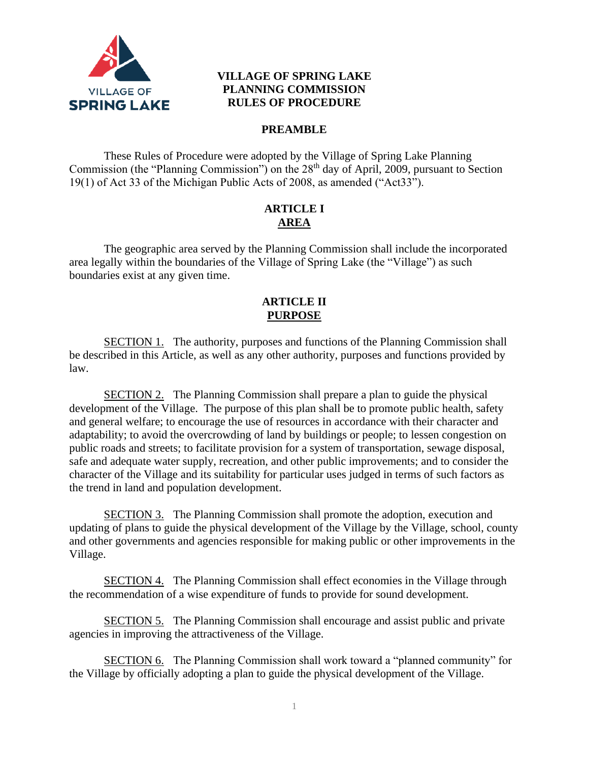

## **VILLAGE OF SPRING LAKE PLANNING COMMISSION RULES OF PROCEDURE**

## **PREAMBLE**

These Rules of Procedure were adopted by the Village of Spring Lake Planning Commission (the "Planning Commission") on the 28<sup>th</sup> day of April, 2009, pursuant to Section 19(1) of Act 33 of the Michigan Public Acts of 2008, as amended ("Act33").

# **ARTICLE I AREA**

The geographic area served by the Planning Commission shall include the incorporated area legally within the boundaries of the Village of Spring Lake (the "Village") as such boundaries exist at any given time.

### **ARTICLE II PURPOSE**

SECTION 1. The authority, purposes and functions of the Planning Commission shall be described in this Article, as well as any other authority, purposes and functions provided by law.

SECTION 2. The Planning Commission shall prepare a plan to guide the physical development of the Village. The purpose of this plan shall be to promote public health, safety and general welfare; to encourage the use of resources in accordance with their character and adaptability; to avoid the overcrowding of land by buildings or people; to lessen congestion on public roads and streets; to facilitate provision for a system of transportation, sewage disposal, safe and adequate water supply, recreation, and other public improvements; and to consider the character of the Village and its suitability for particular uses judged in terms of such factors as the trend in land and population development.

SECTION 3. The Planning Commission shall promote the adoption, execution and updating of plans to guide the physical development of the Village by the Village, school, county and other governments and agencies responsible for making public or other improvements in the Village.

SECTION 4. The Planning Commission shall effect economies in the Village through the recommendation of a wise expenditure of funds to provide for sound development.

SECTION 5. The Planning Commission shall encourage and assist public and private agencies in improving the attractiveness of the Village.

SECTION 6. The Planning Commission shall work toward a "planned community" for the Village by officially adopting a plan to guide the physical development of the Village.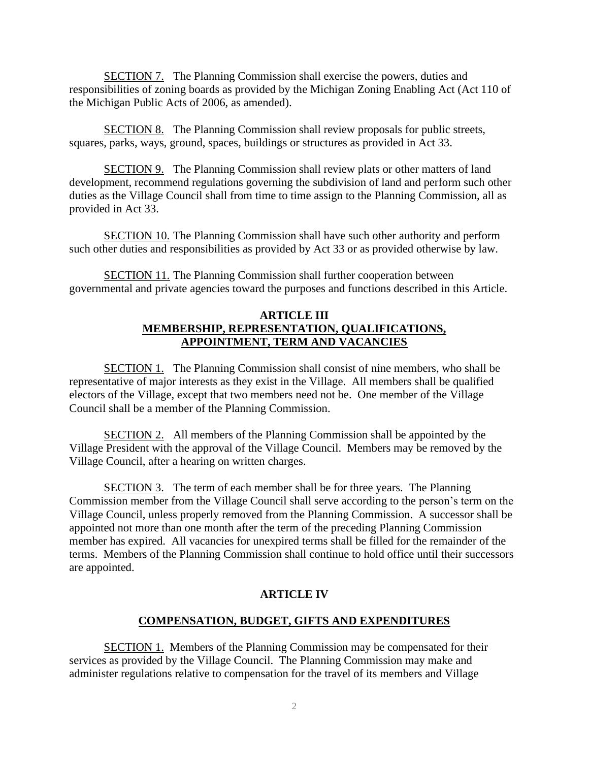SECTION 7. The Planning Commission shall exercise the powers, duties and responsibilities of zoning boards as provided by the Michigan Zoning Enabling Act (Act 110 of the Michigan Public Acts of 2006, as amended).

SECTION 8. The Planning Commission shall review proposals for public streets, squares, parks, ways, ground, spaces, buildings or structures as provided in Act 33.

SECTION 9. The Planning Commission shall review plats or other matters of land development, recommend regulations governing the subdivision of land and perform such other duties as the Village Council shall from time to time assign to the Planning Commission, all as provided in Act 33.

SECTION 10. The Planning Commission shall have such other authority and perform such other duties and responsibilities as provided by Act 33 or as provided otherwise by law.

SECTION 11. The Planning Commission shall further cooperation between governmental and private agencies toward the purposes and functions described in this Article.

### **ARTICLE III MEMBERSHIP, REPRESENTATION, QUALIFICATIONS, APPOINTMENT, TERM AND VACANCIES**

SECTION 1. The Planning Commission shall consist of nine members, who shall be representative of major interests as they exist in the Village. All members shall be qualified electors of the Village, except that two members need not be. One member of the Village Council shall be a member of the Planning Commission.

SECTION 2. All members of the Planning Commission shall be appointed by the Village President with the approval of the Village Council. Members may be removed by the Village Council, after a hearing on written charges.

SECTION 3. The term of each member shall be for three years. The Planning Commission member from the Village Council shall serve according to the person's term on the Village Council, unless properly removed from the Planning Commission. A successor shall be appointed not more than one month after the term of the preceding Planning Commission member has expired. All vacancies for unexpired terms shall be filled for the remainder of the terms. Members of the Planning Commission shall continue to hold office until their successors are appointed.

### **ARTICLE IV**

### **COMPENSATION, BUDGET, GIFTS AND EXPENDITURES**

SECTION 1. Members of the Planning Commission may be compensated for their services as provided by the Village Council. The Planning Commission may make and administer regulations relative to compensation for the travel of its members and Village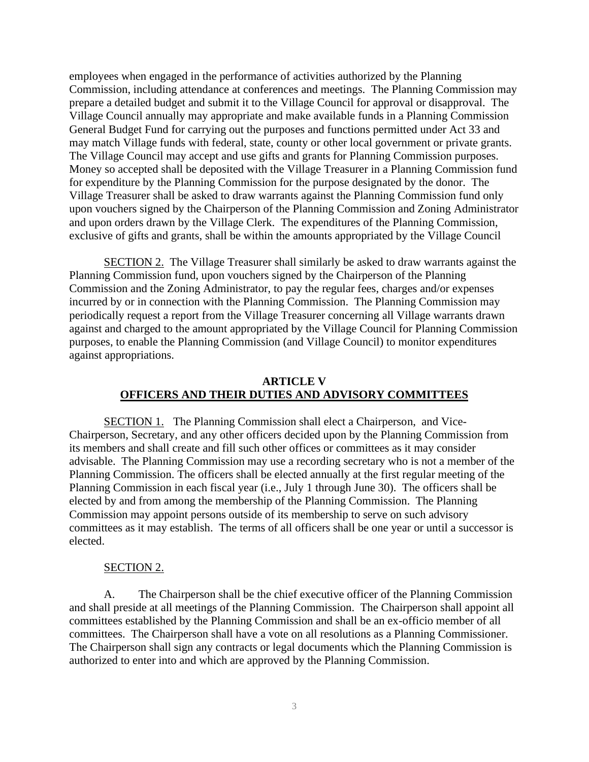employees when engaged in the performance of activities authorized by the Planning Commission, including attendance at conferences and meetings. The Planning Commission may prepare a detailed budget and submit it to the Village Council for approval or disapproval. The Village Council annually may appropriate and make available funds in a Planning Commission General Budget Fund for carrying out the purposes and functions permitted under Act 33 and may match Village funds with federal, state, county or other local government or private grants. The Village Council may accept and use gifts and grants for Planning Commission purposes. Money so accepted shall be deposited with the Village Treasurer in a Planning Commission fund for expenditure by the Planning Commission for the purpose designated by the donor. The Village Treasurer shall be asked to draw warrants against the Planning Commission fund only upon vouchers signed by the Chairperson of the Planning Commission and Zoning Administrator and upon orders drawn by the Village Clerk. The expenditures of the Planning Commission, exclusive of gifts and grants, shall be within the amounts appropriated by the Village Council

SECTION 2. The Village Treasurer shall similarly be asked to draw warrants against the Planning Commission fund, upon vouchers signed by the Chairperson of the Planning Commission and the Zoning Administrator, to pay the regular fees, charges and/or expenses incurred by or in connection with the Planning Commission. The Planning Commission may periodically request a report from the Village Treasurer concerning all Village warrants drawn against and charged to the amount appropriated by the Village Council for Planning Commission purposes, to enable the Planning Commission (and Village Council) to monitor expenditures against appropriations.

#### **ARTICLE V OFFICERS AND THEIR DUTIES AND ADVISORY COMMITTEES**

SECTION 1. The Planning Commission shall elect a Chairperson, and Vice-Chairperson, Secretary, and any other officers decided upon by the Planning Commission from its members and shall create and fill such other offices or committees as it may consider advisable. The Planning Commission may use a recording secretary who is not a member of the Planning Commission. The officers shall be elected annually at the first regular meeting of the Planning Commission in each fiscal year (i.e., July 1 through June 30). The officers shall be elected by and from among the membership of the Planning Commission. The Planning Commission may appoint persons outside of its membership to serve on such advisory committees as it may establish. The terms of all officers shall be one year or until a successor is elected.

#### SECTION 2.

A. The Chairperson shall be the chief executive officer of the Planning Commission and shall preside at all meetings of the Planning Commission. The Chairperson shall appoint all committees established by the Planning Commission and shall be an ex-officio member of all committees. The Chairperson shall have a vote on all resolutions as a Planning Commissioner. The Chairperson shall sign any contracts or legal documents which the Planning Commission is authorized to enter into and which are approved by the Planning Commission.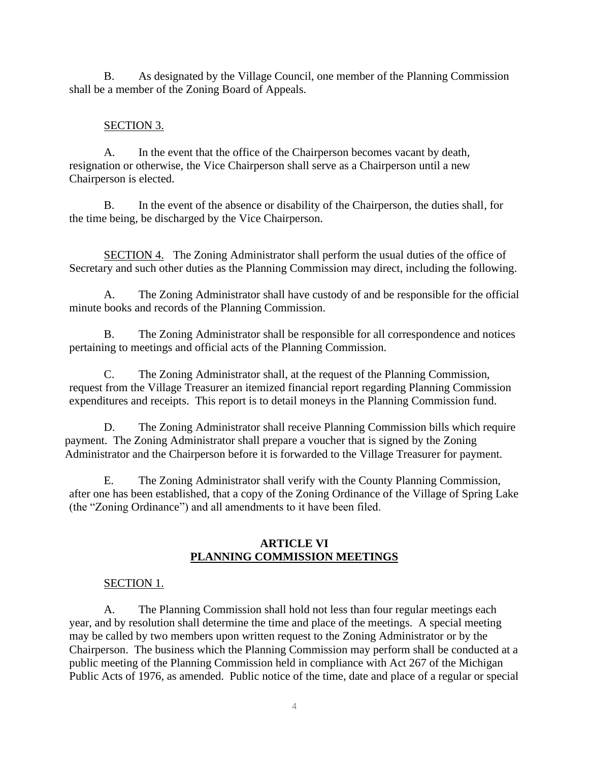B. As designated by the Village Council, one member of the Planning Commission shall be a member of the Zoning Board of Appeals.

### SECTION 3.

A. In the event that the office of the Chairperson becomes vacant by death, resignation or otherwise, the Vice Chairperson shall serve as a Chairperson until a new Chairperson is elected.

B. In the event of the absence or disability of the Chairperson, the duties shall, for the time being, be discharged by the Vice Chairperson.

SECTION 4. The Zoning Administrator shall perform the usual duties of the office of Secretary and such other duties as the Planning Commission may direct, including the following.

A. The Zoning Administrator shall have custody of and be responsible for the official minute books and records of the Planning Commission.

B. The Zoning Administrator shall be responsible for all correspondence and notices pertaining to meetings and official acts of the Planning Commission.

C. The Zoning Administrator shall, at the request of the Planning Commission, request from the Village Treasurer an itemized financial report regarding Planning Commission expenditures and receipts. This report is to detail moneys in the Planning Commission fund.

D. The Zoning Administrator shall receive Planning Commission bills which require payment. The Zoning Administrator shall prepare a voucher that is signed by the Zoning Administrator and the Chairperson before it is forwarded to the Village Treasurer for payment.

E. The Zoning Administrator shall verify with the County Planning Commission, after one has been established, that a copy of the Zoning Ordinance of the Village of Spring Lake (the "Zoning Ordinance") and all amendments to it have been filed.

## **ARTICLE VI PLANNING COMMISSION MEETINGS**

# SECTION 1.

A. The Planning Commission shall hold not less than four regular meetings each year, and by resolution shall determine the time and place of the meetings. A special meeting may be called by two members upon written request to the Zoning Administrator or by the Chairperson. The business which the Planning Commission may perform shall be conducted at a public meeting of the Planning Commission held in compliance with Act 267 of the Michigan Public Acts of 1976, as amended. Public notice of the time, date and place of a regular or special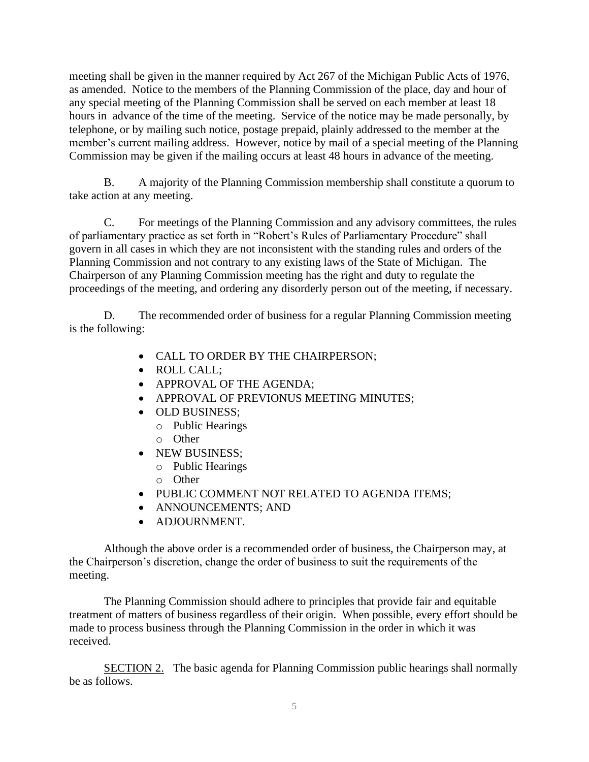meeting shall be given in the manner required by Act 267 of the Michigan Public Acts of 1976, as amended. Notice to the members of the Planning Commission of the place, day and hour of any special meeting of the Planning Commission shall be served on each member at least 18 hours in advance of the time of the meeting. Service of the notice may be made personally, by telephone, or by mailing such notice, postage prepaid, plainly addressed to the member at the member's current mailing address. However, notice by mail of a special meeting of the Planning Commission may be given if the mailing occurs at least 48 hours in advance of the meeting.

B. A majority of the Planning Commission membership shall constitute a quorum to take action at any meeting.

C. For meetings of the Planning Commission and any advisory committees, the rules of parliamentary practice as set forth in "Robert's Rules of Parliamentary Procedure" shall govern in all cases in which they are not inconsistent with the standing rules and orders of the Planning Commission and not contrary to any existing laws of the State of Michigan. The Chairperson of any Planning Commission meeting has the right and duty to regulate the proceedings of the meeting, and ordering any disorderly person out of the meeting, if necessary.

D. The recommended order of business for a regular Planning Commission meeting is the following:

- CALL TO ORDER BY THE CHAIRPERSON;
- ROLL CALL;
- APPROVAL OF THE AGENDA;
- APPROVAL OF PREVIONUS MEETING MINUTES;
- OLD BUSINESS;
	- o Public Hearings
	- o Other
- NEW BUSINESS;
	- o Public Hearings
	- o Other
- PUBLIC COMMENT NOT RELATED TO AGENDA ITEMS;
- ANNOUNCEMENTS; AND
- ADJOURNMENT.

Although the above order is a recommended order of business, the Chairperson may, at the Chairperson's discretion, change the order of business to suit the requirements of the meeting.

The Planning Commission should adhere to principles that provide fair and equitable treatment of matters of business regardless of their origin. When possible, every effort should be made to process business through the Planning Commission in the order in which it was received.

SECTION 2. The basic agenda for Planning Commission public hearings shall normally be as follows.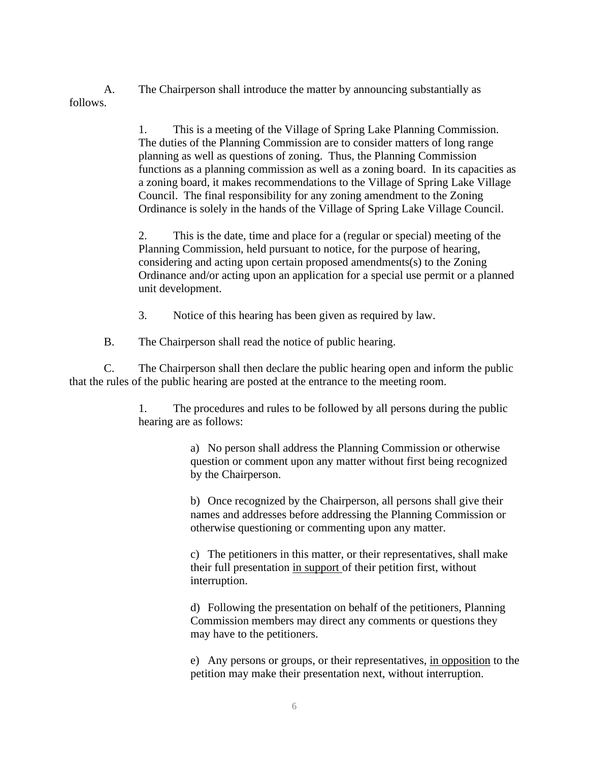A. The Chairperson shall introduce the matter by announcing substantially as follows.

> 1. This is a meeting of the Village of Spring Lake Planning Commission. The duties of the Planning Commission are to consider matters of long range planning as well as questions of zoning. Thus, the Planning Commission functions as a planning commission as well as a zoning board. In its capacities as a zoning board, it makes recommendations to the Village of Spring Lake Village Council. The final responsibility for any zoning amendment to the Zoning Ordinance is solely in the hands of the Village of Spring Lake Village Council.

> 2. This is the date, time and place for a (regular or special) meeting of the Planning Commission, held pursuant to notice, for the purpose of hearing, considering and acting upon certain proposed amendments(s) to the Zoning Ordinance and/or acting upon an application for a special use permit or a planned unit development.

3. Notice of this hearing has been given as required by law.

B. The Chairperson shall read the notice of public hearing.

C. The Chairperson shall then declare the public hearing open and inform the public that the rules of the public hearing are posted at the entrance to the meeting room.

> 1. The procedures and rules to be followed by all persons during the public hearing are as follows:

> > a) No person shall address the Planning Commission or otherwise question or comment upon any matter without first being recognized by the Chairperson.

> > b) Once recognized by the Chairperson, all persons shall give their names and addresses before addressing the Planning Commission or otherwise questioning or commenting upon any matter.

> > c) The petitioners in this matter, or their representatives, shall make their full presentation in support of their petition first, without interruption.

> > d) Following the presentation on behalf of the petitioners, Planning Commission members may direct any comments or questions they may have to the petitioners.

e) Any persons or groups, or their representatives, in opposition to the petition may make their presentation next, without interruption.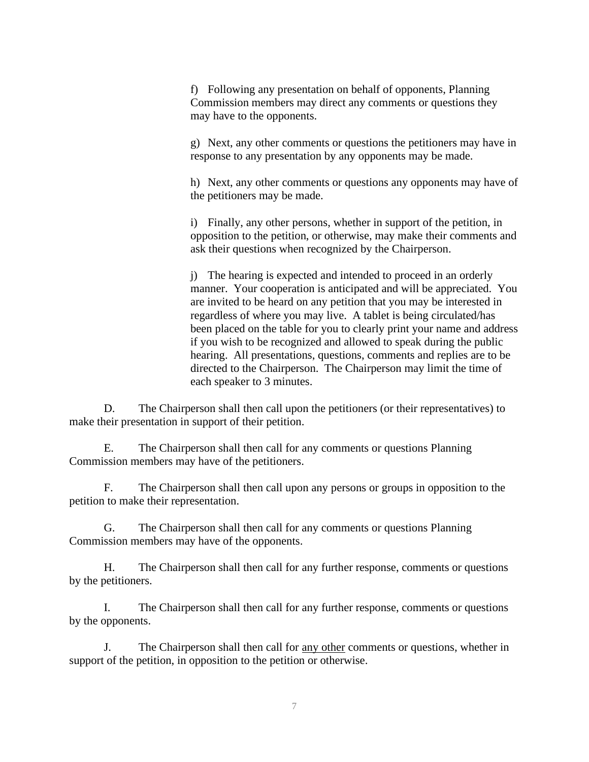f) Following any presentation on behalf of opponents, Planning Commission members may direct any comments or questions they may have to the opponents.

g) Next, any other comments or questions the petitioners may have in response to any presentation by any opponents may be made.

h) Next, any other comments or questions any opponents may have of the petitioners may be made.

i) Finally, any other persons, whether in support of the petition, in opposition to the petition, or otherwise, may make their comments and ask their questions when recognized by the Chairperson.

j) The hearing is expected and intended to proceed in an orderly manner. Your cooperation is anticipated and will be appreciated. You are invited to be heard on any petition that you may be interested in regardless of where you may live. A tablet is being circulated/has been placed on the table for you to clearly print your name and address if you wish to be recognized and allowed to speak during the public hearing. All presentations, questions, comments and replies are to be directed to the Chairperson. The Chairperson may limit the time of each speaker to 3 minutes.

D. The Chairperson shall then call upon the petitioners (or their representatives) to make their presentation in support of their petition.

E. The Chairperson shall then call for any comments or questions Planning Commission members may have of the petitioners.

F. The Chairperson shall then call upon any persons or groups in opposition to the petition to make their representation.

G. The Chairperson shall then call for any comments or questions Planning Commission members may have of the opponents.

H. The Chairperson shall then call for any further response, comments or questions by the petitioners.

I. The Chairperson shall then call for any further response, comments or questions by the opponents.

J. The Chairperson shall then call for any other comments or questions, whether in support of the petition, in opposition to the petition or otherwise.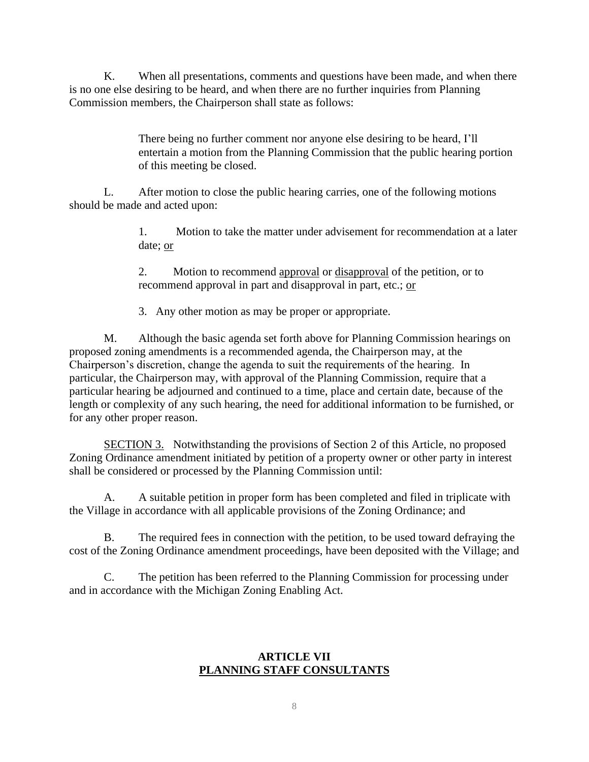K. When all presentations, comments and questions have been made, and when there is no one else desiring to be heard, and when there are no further inquiries from Planning Commission members, the Chairperson shall state as follows:

> There being no further comment nor anyone else desiring to be heard, I'll entertain a motion from the Planning Commission that the public hearing portion of this meeting be closed.

L. After motion to close the public hearing carries, one of the following motions should be made and acted upon:

> 1. Motion to take the matter under advisement for recommendation at a later date; or

2. Motion to recommend approval or disapproval of the petition, or to recommend approval in part and disapproval in part, etc.; or

3. Any other motion as may be proper or appropriate.

M. Although the basic agenda set forth above for Planning Commission hearings on proposed zoning amendments is a recommended agenda, the Chairperson may, at the Chairperson's discretion, change the agenda to suit the requirements of the hearing. In particular, the Chairperson may, with approval of the Planning Commission, require that a particular hearing be adjourned and continued to a time, place and certain date, because of the length or complexity of any such hearing, the need for additional information to be furnished, or for any other proper reason.

SECTION 3. Notwithstanding the provisions of Section 2 of this Article, no proposed Zoning Ordinance amendment initiated by petition of a property owner or other party in interest shall be considered or processed by the Planning Commission until:

A. A suitable petition in proper form has been completed and filed in triplicate with the Village in accordance with all applicable provisions of the Zoning Ordinance; and

B. The required fees in connection with the petition, to be used toward defraying the cost of the Zoning Ordinance amendment proceedings, have been deposited with the Village; and

C. The petition has been referred to the Planning Commission for processing under and in accordance with the Michigan Zoning Enabling Act.

## **ARTICLE VII PLANNING STAFF CONSULTANTS**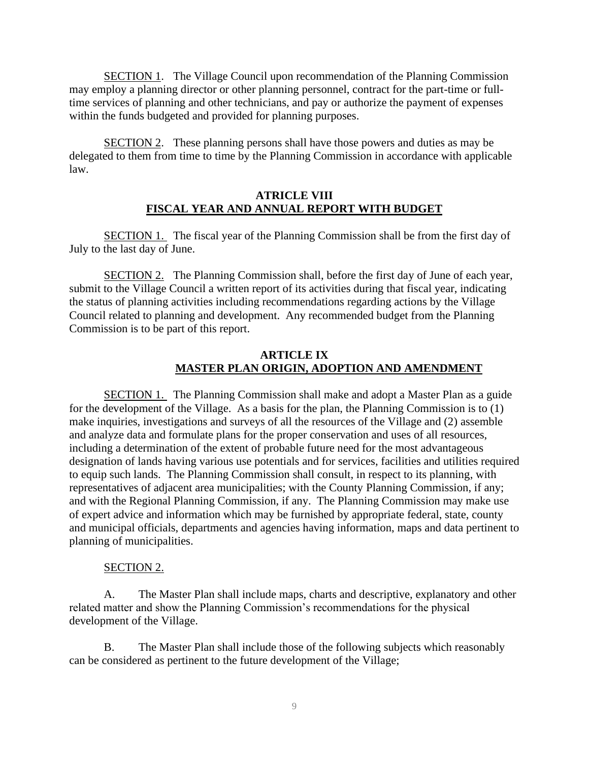SECTION 1. The Village Council upon recommendation of the Planning Commission may employ a planning director or other planning personnel, contract for the part-time or fulltime services of planning and other technicians, and pay or authorize the payment of expenses within the funds budgeted and provided for planning purposes.

SECTION 2. These planning persons shall have those powers and duties as may be delegated to them from time to time by the Planning Commission in accordance with applicable law.

### **ATRICLE VIII FISCAL YEAR AND ANNUAL REPORT WITH BUDGET**

SECTION 1. The fiscal year of the Planning Commission shall be from the first day of July to the last day of June.

SECTION 2. The Planning Commission shall, before the first day of June of each year, submit to the Village Council a written report of its activities during that fiscal year, indicating the status of planning activities including recommendations regarding actions by the Village Council related to planning and development. Any recommended budget from the Planning Commission is to be part of this report.

### **ARTICLE IX MASTER PLAN ORIGIN, ADOPTION AND AMENDMENT**

SECTION 1. The Planning Commission shall make and adopt a Master Plan as a guide for the development of the Village. As a basis for the plan, the Planning Commission is to (1) make inquiries, investigations and surveys of all the resources of the Village and (2) assemble and analyze data and formulate plans for the proper conservation and uses of all resources, including a determination of the extent of probable future need for the most advantageous designation of lands having various use potentials and for services, facilities and utilities required to equip such lands. The Planning Commission shall consult, in respect to its planning, with representatives of adjacent area municipalities; with the County Planning Commission, if any; and with the Regional Planning Commission, if any. The Planning Commission may make use of expert advice and information which may be furnished by appropriate federal, state, county and municipal officials, departments and agencies having information, maps and data pertinent to planning of municipalities.

#### SECTION 2.

A. The Master Plan shall include maps, charts and descriptive, explanatory and other related matter and show the Planning Commission's recommendations for the physical development of the Village.

B. The Master Plan shall include those of the following subjects which reasonably can be considered as pertinent to the future development of the Village;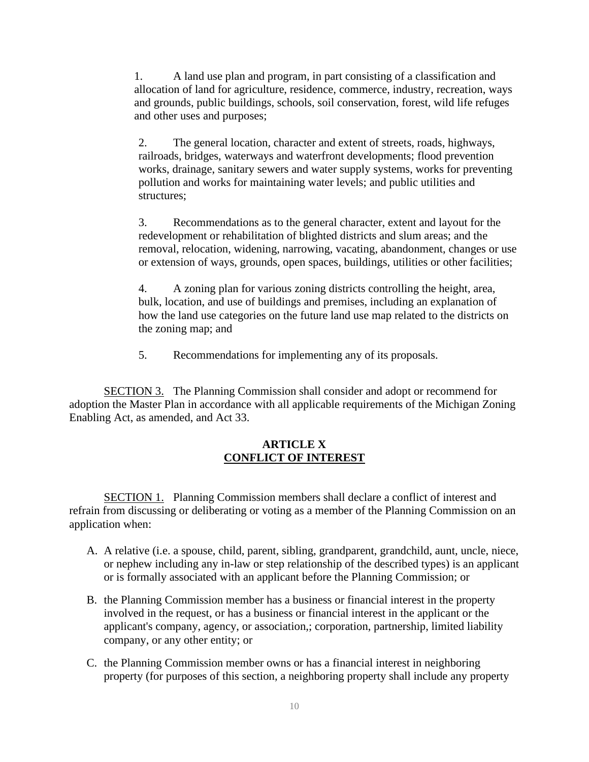1. A land use plan and program, in part consisting of a classification and allocation of land for agriculture, residence, commerce, industry, recreation, ways and grounds, public buildings, schools, soil conservation, forest, wild life refuges and other uses and purposes;

2. The general location, character and extent of streets, roads, highways, railroads, bridges, waterways and waterfront developments; flood prevention works, drainage, sanitary sewers and water supply systems, works for preventing pollution and works for maintaining water levels; and public utilities and structures;

3. Recommendations as to the general character, extent and layout for the redevelopment or rehabilitation of blighted districts and slum areas; and the removal, relocation, widening, narrowing, vacating, abandonment, changes or use or extension of ways, grounds, open spaces, buildings, utilities or other facilities;

4. A zoning plan for various zoning districts controlling the height, area, bulk, location, and use of buildings and premises, including an explanation of how the land use categories on the future land use map related to the districts on the zoning map; and

5. Recommendations for implementing any of its proposals.

SECTION 3. The Planning Commission shall consider and adopt or recommend for adoption the Master Plan in accordance with all applicable requirements of the Michigan Zoning Enabling Act, as amended, and Act 33.

### **ARTICLE X CONFLICT OF INTEREST**

SECTION 1. Planning Commission members shall declare a conflict of interest and refrain from discussing or deliberating or voting as a member of the Planning Commission on an application when:

- A. A relative (i.e. a spouse, child, parent, sibling, grandparent, grandchild, aunt, uncle, niece, or nephew including any in-law or step relationship of the described types) is an applicant or is formally associated with an applicant before the Planning Commission; or
- B. the Planning Commission member has a business or financial interest in the property involved in the request, or has a business or financial interest in the applicant or the applicant's company, agency, or association,; corporation, partnership, limited liability company, or any other entity; or
- C. the Planning Commission member owns or has a financial interest in neighboring property (for purposes of this section, a neighboring property shall include any property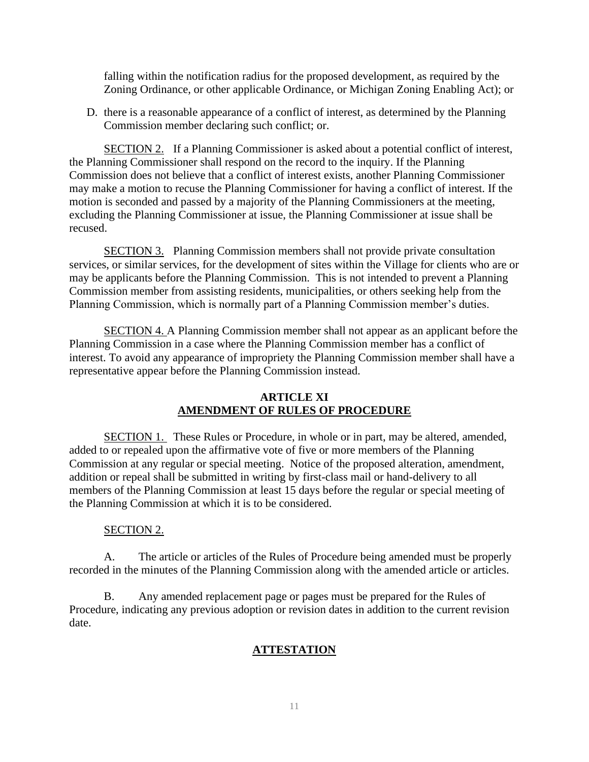falling within the notification radius for the proposed development, as required by the Zoning Ordinance, or other applicable Ordinance, or Michigan Zoning Enabling Act); or

D. there is a reasonable appearance of a conflict of interest, as determined by the Planning Commission member declaring such conflict; or.

SECTION 2. If a Planning Commissioner is asked about a potential conflict of interest, the Planning Commissioner shall respond on the record to the inquiry. If the Planning Commission does not believe that a conflict of interest exists, another Planning Commissioner may make a motion to recuse the Planning Commissioner for having a conflict of interest. If the motion is seconded and passed by a majority of the Planning Commissioners at the meeting, excluding the Planning Commissioner at issue, the Planning Commissioner at issue shall be recused.

SECTION 3. Planning Commission members shall not provide private consultation services, or similar services, for the development of sites within the Village for clients who are or may be applicants before the Planning Commission. This is not intended to prevent a Planning Commission member from assisting residents, municipalities, or others seeking help from the Planning Commission, which is normally part of a Planning Commission member's duties.

SECTION 4. A Planning Commission member shall not appear as an applicant before the Planning Commission in a case where the Planning Commission member has a conflict of interest. To avoid any appearance of impropriety the Planning Commission member shall have a representative appear before the Planning Commission instead.

### **ARTICLE XI AMENDMENT OF RULES OF PROCEDURE**

SECTION 1. These Rules or Procedure, in whole or in part, may be altered, amended, added to or repealed upon the affirmative vote of five or more members of the Planning Commission at any regular or special meeting. Notice of the proposed alteration, amendment, addition or repeal shall be submitted in writing by first-class mail or hand-delivery to all members of the Planning Commission at least 15 days before the regular or special meeting of the Planning Commission at which it is to be considered.

### SECTION 2.

A. The article or articles of the Rules of Procedure being amended must be properly recorded in the minutes of the Planning Commission along with the amended article or articles.

B. Any amended replacement page or pages must be prepared for the Rules of Procedure, indicating any previous adoption or revision dates in addition to the current revision date.

# **ATTESTATION**